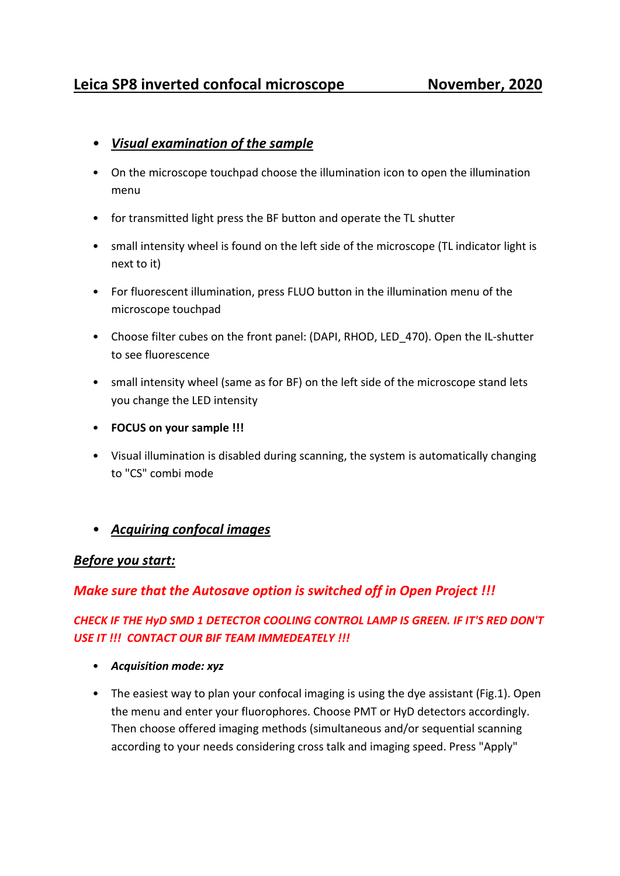# • *Visual examination of the sample*

- On the microscope touchpad choose the illumination icon to open the illumination menu
- for transmitted light press the BF button and operate the TL shutter
- small intensity wheel is found on the left side of the microscope (TL indicator light is next to it)
- For fluorescent illumination, press FLUO button in the illumination menu of the microscope touchpad
- Choose filter cubes on the front panel: (DAPI, RHOD, LED\_470). Open the IL-shutter to see fluorescence
- small intensity wheel (same as for BF) on the left side of the microscope stand lets you change the LED intensity
- **FOCUS on your sample !!!**
- Visual illumination is disabled during scanning, the system is automatically changing to "CS" combi mode
- *Acquiring confocal images*

## *Before you start:*

# *Make sure that the Autosave option is switched off in Open Project !!!*

# *CHECK IF THE HyD SMD 1 DETECTOR COOLING CONTROL LAMP IS GREEN. IF IT'S RED DON'T USE IT !!! CONTACT OUR BIF TEAM IMMEDEATELY !!!*

- *Acquisition mode: xyz*
- The easiest way to plan your confocal imaging is using the dye assistant (Fig.1). Open the menu and enter your fluorophores. Choose PMT or HyD detectors accordingly. Then choose offered imaging methods (simultaneous and/or sequential scanning according to your needs considering cross talk and imaging speed. Press "Apply"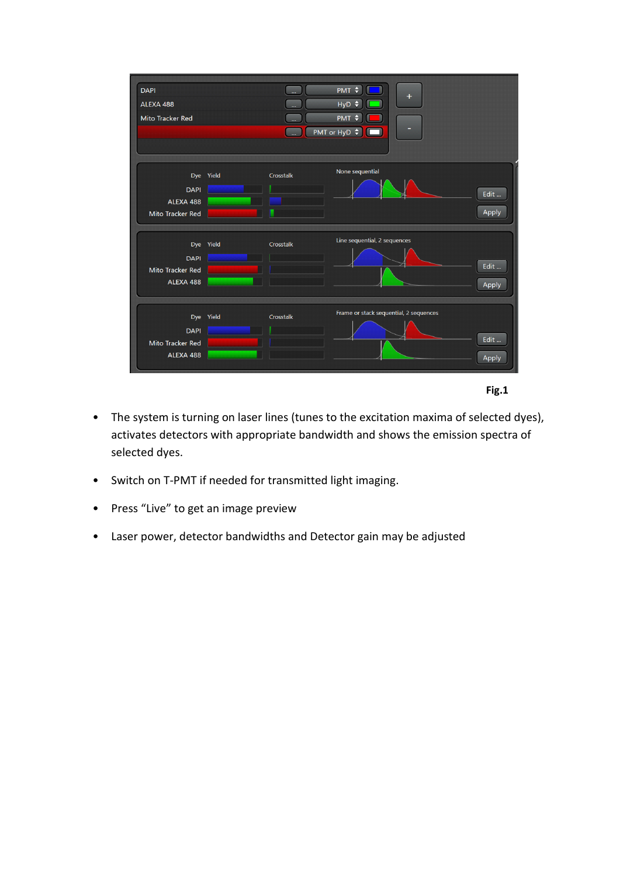



- The system is turning on laser lines (tunes to the excitation maxima of selected dyes), activates detectors with appropriate bandwidth and shows the emission spectra of selected dyes.
- Switch on T-PMT if needed for transmitted light imaging.
- Press "Live" to get an image preview
- Laser power, detector bandwidths and Detector gain may be adjusted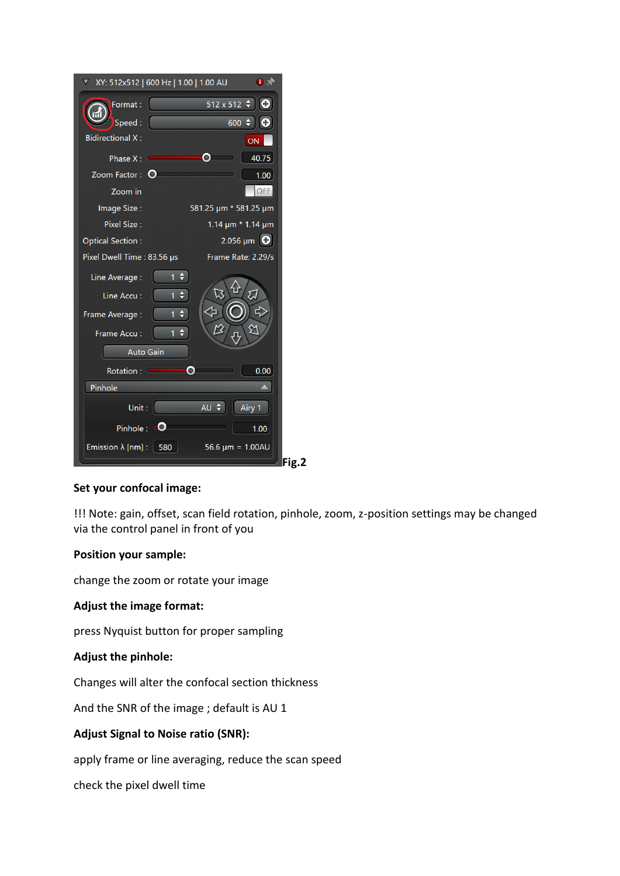| ▼ XY: 512x512   600 Hz   1.00   1.00 AU          | $\bullet$                       |
|--------------------------------------------------|---------------------------------|
| Format:<br>Speed:                                | 512 x 512<br>c<br>н<br>600<br>Œ |
| <b>Bidirectional X:</b>                          | ON                              |
| Phase $X:$                                       | 40.75                           |
| Zoom Factor: O                                   | 1.00                            |
| Zoom in                                          | <b>OFF</b>                      |
| Image Size:                                      | 581.25 µm * 581.25 µm           |
| Pixel Size:                                      | 1.14 um * 1.14 um               |
| <b>Optical Section:</b>                          | 2.056 µm                        |
| Pixel Dwell Time: 83.56 µs                       | Frame Rate: 2.29/s              |
| Line Average :<br>θ<br>1<br>$\div$<br>Line Accu: | ⋰                               |
| $\overline{1}$<br>$\div$<br>Frame Average:       |                                 |
| $\div$<br>1<br>Frame Accu:                       |                                 |
| Auto Gain                                        |                                 |
| Rotation :<br>$\bullet$                          | 0.00                            |
| Pinhole                                          |                                 |
| Unit:                                            | AU \$<br>Airy 1                 |
| Pinhole: $\blacksquare$                          | 1.00                            |
| Emission $\lambda$ [nm] :   580                  | 56.6 $\mu$ m = 1.00AU<br>Fig.2  |

#### **Set your confocal image:**

!!! Note: gain, offset, scan field rotation, pinhole, zoom, z-position settings may be changed via the control panel in front of you

### **Position your sample:**

change the zoom or rotate your image

#### **Adjust the image format:**

press Nyquist button for proper sampling

#### **Adjust the pinhole:**

Changes will alter the confocal section thickness

And the SNR of the image ; default is AU 1

### **Adjust Signal to Noise ratio (SNR):**

apply frame or line averaging, reduce the scan speed

check the pixel dwell time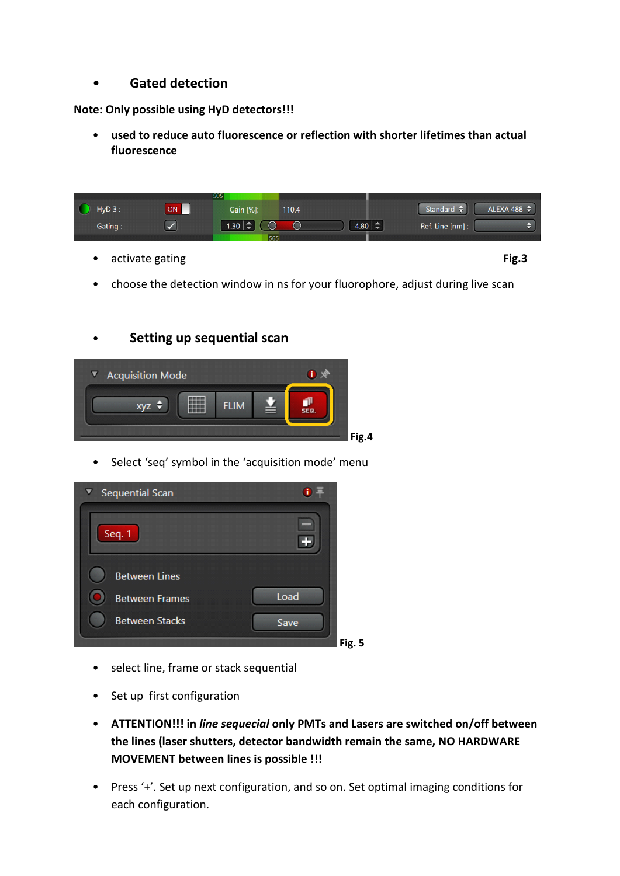• **Gated detection** 

**Note: Only possible using HyD detectors!!!**

• **used to reduce auto fluorescence or reflection with shorter lifetimes than actual fluorescence**

|                       |    | 505 |                       |     |       |                       |                            |                  |
|-----------------------|----|-----|-----------------------|-----|-------|-----------------------|----------------------------|------------------|
| $\bullet$<br>$HyD3$ : | ON |     | Gain [%]:             |     | 110.4 |                       | Standard $\hat{\bm{\tau}}$ | ALEXA 488 $\div$ |
| Gating:               |    |     | $1.30 \mid \triangle$ |     |       | $4.80 \mid \triangle$ | Ref. Line [nm] :           |                  |
|                       |    |     |                       | 565 |       |                       |                            |                  |
|                       |    |     |                       |     |       |                       |                            |                  |

• activate gating **Fig.3**

• choose the detection window in ns for your fluorophore, adjust during live scan

## • **Setting up sequential scan**



• Select 'seq' symbol in the 'acquisition mode' menu



- select line, frame or stack sequential
- Set up first configuration
- **ATTENTION!!! in** *line sequecial* **only PMTs and Lasers are switched on/off between the lines (laser shutters, detector bandwidth remain the same, NO HARDWARE MOVEMENT between lines is possible !!!**
- Press '+'. Set up next configuration, and so on. Set optimal imaging conditions for each configuration.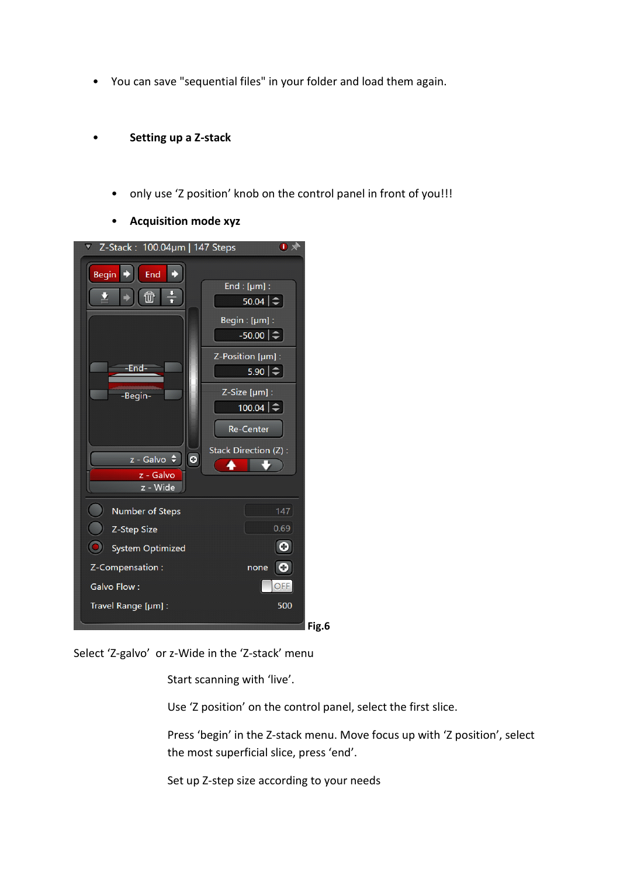• You can save "sequential files" in your folder and load them again.

### • **Setting up a Z-stack**

- only use 'Z position' knob on the control panel in front of you!!!
- **Acquisition mode xyz**

| Z-Stack: 100.04µm   147 Steps<br>$\overline{\nabla}$ | $\mathbf{I}$ $\mathbf{X}$                                                        |
|------------------------------------------------------|----------------------------------------------------------------------------------|
| End<br><b>Begin</b><br>$\frac{1}{1}$<br>砬            | End : $[µm]$ :<br>$50.04$ $\Rightarrow$<br>Begin:[µm]:<br>$-50.00$ $\Rightarrow$ |
| -End-                                                | Z-Position [µm] :<br>$5.90 \geq$                                                 |
| -Begin-                                              | Z-Size [µm] :<br>$100.04$ $\Rightarrow$<br><b>Re-Center</b>                      |
| z - Galvo ≑<br>$\circ$<br>z - Galvo<br>z - Wide      | Stack Direction (Z):                                                             |
| <b>Number of Steps</b>                               | 147                                                                              |
| Z-Step Size                                          | 0.69                                                                             |
| <b>System Optimized</b>                              | C                                                                                |
| Z-Compensation:                                      | $\bullet$<br>none                                                                |
| Galvo Flow:                                          | OFF                                                                              |
| Travel Range [µm] :                                  | 500                                                                              |
|                                                      | Fig.6                                                                            |

Select 'Z-galvo' or z-Wide in the 'Z-stack' menu

Start scanning with 'live'.

Use 'Z position' on the control panel, select the first slice.

Press 'begin' in the Z-stack menu. Move focus up with 'Z position', select the most superficial slice, press 'end'.

Set up Z-step size according to your needs